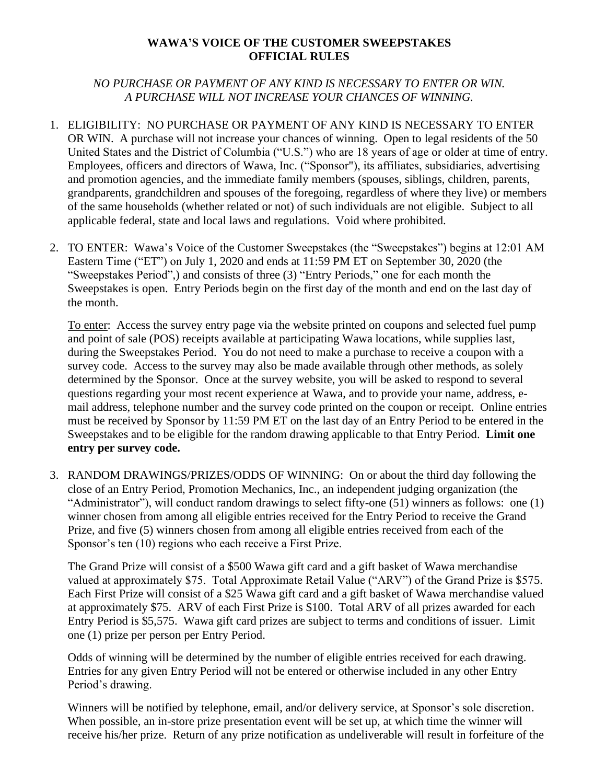## **WAWA'S VOICE OF THE CUSTOMER SWEEPSTAKES OFFICIAL RULES**

*NO PURCHASE OR PAYMENT OF ANY KIND IS NECESSARY TO ENTER OR WIN. A PURCHASE WILL NOT INCREASE YOUR CHANCES OF WINNING.*

- 1. ELIGIBILITY: NO PURCHASE OR PAYMENT OF ANY KIND IS NECESSARY TO ENTER OR WIN. A purchase will not increase your chances of winning. Open to legal residents of the 50 United States and the District of Columbia ("U.S.") who are 18 years of age or older at time of entry. Employees, officers and directors of Wawa, Inc. ("Sponsor"), its affiliates, subsidiaries, advertising and promotion agencies, and the immediate family members (spouses, siblings, children, parents, grandparents, grandchildren and spouses of the foregoing, regardless of where they live) or members of the same households (whether related or not) of such individuals are not eligible. Subject to all applicable federal, state and local laws and regulations. Void where prohibited.
- 2. TO ENTER: Wawa's Voice of the Customer Sweepstakes (the "Sweepstakes") begins at 12:01 AM Eastern Time ("ET") on July 1, 2020 and ends at 11:59 PM ET on September 30, 2020 (the "Sweepstakes Period",) and consists of three (3) "Entry Periods," one for each month the Sweepstakes is open. Entry Periods begin on the first day of the month and end on the last day of the month.

To enter: Access the survey entry page via the website printed on coupons and selected fuel pump and point of sale (POS) receipts available at participating Wawa locations, while supplies last, during the Sweepstakes Period. You do not need to make a purchase to receive a coupon with a survey code. Access to the survey may also be made available through other methods, as solely determined by the Sponsor. Once at the survey website, you will be asked to respond to several questions regarding your most recent experience at Wawa, and to provide your name, address, email address, telephone number and the survey code printed on the coupon or receipt. Online entries must be received by Sponsor by 11:59 PM ET on the last day of an Entry Period to be entered in the Sweepstakes and to be eligible for the random drawing applicable to that Entry Period. **Limit one entry per survey code.**

3. RANDOM DRAWINGS/PRIZES/ODDS OF WINNING: On or about the third day following the close of an Entry Period, Promotion Mechanics, Inc., an independent judging organization (the "Administrator"), will conduct random drawings to select fifty-one (51) winners as follows: one (1) winner chosen from among all eligible entries received for the Entry Period to receive the Grand Prize, and five (5) winners chosen from among all eligible entries received from each of the Sponsor's ten (10) regions who each receive a First Prize.

The Grand Prize will consist of a \$500 Wawa gift card and a gift basket of Wawa merchandise valued at approximately \$75. Total Approximate Retail Value ("ARV") of the Grand Prize is \$575. Each First Prize will consist of a \$25 Wawa gift card and a gift basket of Wawa merchandise valued at approximately \$75. ARV of each First Prize is \$100. Total ARV of all prizes awarded for each Entry Period is \$5,575. Wawa gift card prizes are subject to terms and conditions of issuer. Limit one (1) prize per person per Entry Period.

Odds of winning will be determined by the number of eligible entries received for each drawing. Entries for any given Entry Period will not be entered or otherwise included in any other Entry Period's drawing.

Winners will be notified by telephone, email, and/or delivery service, at Sponsor's sole discretion. When possible, an in-store prize presentation event will be set up, at which time the winner will receive his/her prize. Return of any prize notification as undeliverable will result in forfeiture of the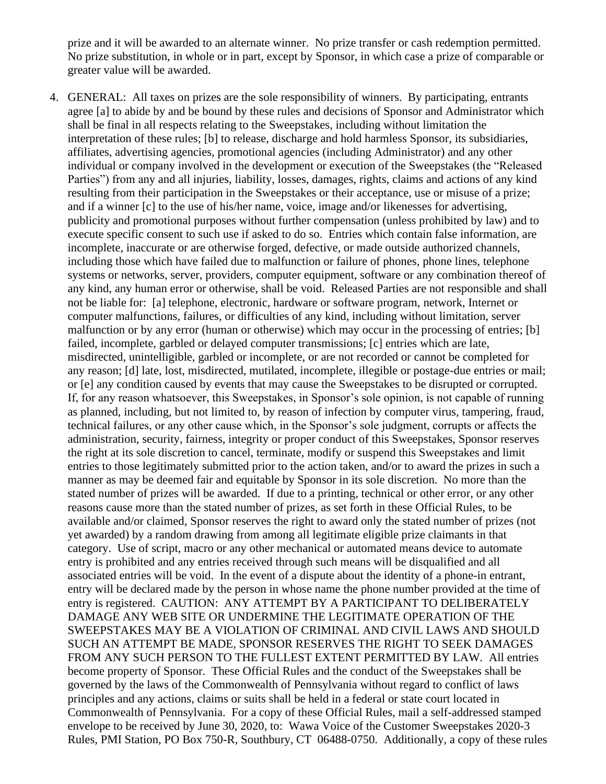prize and it will be awarded to an alternate winner. No prize transfer or cash redemption permitted. No prize substitution, in whole or in part, except by Sponsor, in which case a prize of comparable or greater value will be awarded.

4. GENERAL: All taxes on prizes are the sole responsibility of winners. By participating, entrants agree [a] to abide by and be bound by these rules and decisions of Sponsor and Administrator which shall be final in all respects relating to the Sweepstakes, including without limitation the interpretation of these rules; [b] to release, discharge and hold harmless Sponsor, its subsidiaries, affiliates, advertising agencies, promotional agencies (including Administrator) and any other individual or company involved in the development or execution of the Sweepstakes (the "Released Parties") from any and all injuries, liability, losses, damages, rights, claims and actions of any kind resulting from their participation in the Sweepstakes or their acceptance, use or misuse of a prize; and if a winner [c] to the use of his/her name, voice, image and/or likenesses for advertising, publicity and promotional purposes without further compensation (unless prohibited by law) and to execute specific consent to such use if asked to do so. Entries which contain false information, are incomplete, inaccurate or are otherwise forged, defective, or made outside authorized channels, including those which have failed due to malfunction or failure of phones, phone lines, telephone systems or networks, server, providers, computer equipment, software or any combination thereof of any kind, any human error or otherwise, shall be void. Released Parties are not responsible and shall not be liable for: [a] telephone, electronic, hardware or software program, network, Internet or computer malfunctions, failures, or difficulties of any kind, including without limitation, server malfunction or by any error (human or otherwise) which may occur in the processing of entries; [b] failed, incomplete, garbled or delayed computer transmissions; [c] entries which are late, misdirected, unintelligible, garbled or incomplete, or are not recorded or cannot be completed for any reason; [d] late, lost, misdirected, mutilated, incomplete, illegible or postage-due entries or mail; or [e] any condition caused by events that may cause the Sweepstakes to be disrupted or corrupted. If, for any reason whatsoever, this Sweepstakes, in Sponsor's sole opinion, is not capable of running as planned, including, but not limited to, by reason of infection by computer virus, tampering, fraud, technical failures, or any other cause which, in the Sponsor's sole judgment, corrupts or affects the administration, security, fairness, integrity or proper conduct of this Sweepstakes, Sponsor reserves the right at its sole discretion to cancel, terminate, modify or suspend this Sweepstakes and limit entries to those legitimately submitted prior to the action taken, and/or to award the prizes in such a manner as may be deemed fair and equitable by Sponsor in its sole discretion. No more than the stated number of prizes will be awarded. If due to a printing, technical or other error, or any other reasons cause more than the stated number of prizes, as set forth in these Official Rules, to be available and/or claimed, Sponsor reserves the right to award only the stated number of prizes (not yet awarded) by a random drawing from among all legitimate eligible prize claimants in that category. Use of script, macro or any other mechanical or automated means device to automate entry is prohibited and any entries received through such means will be disqualified and all associated entries will be void. In the event of a dispute about the identity of a phone-in entrant, entry will be declared made by the person in whose name the phone number provided at the time of entry is registered. CAUTION: ANY ATTEMPT BY A PARTICIPANT TO DELIBERATELY DAMAGE ANY WEB SITE OR UNDERMINE THE LEGITIMATE OPERATION OF THE SWEEPSTAKES MAY BE A VIOLATION OF CRIMINAL AND CIVIL LAWS AND SHOULD SUCH AN ATTEMPT BE MADE, SPONSOR RESERVES THE RIGHT TO SEEK DAMAGES FROM ANY SUCH PERSON TO THE FULLEST EXTENT PERMITTED BY LAW. All entries become property of Sponsor. These Official Rules and the conduct of the Sweepstakes shall be governed by the laws of the Commonwealth of Pennsylvania without regard to conflict of laws principles and any actions, claims or suits shall be held in a federal or state court located in Commonwealth of Pennsylvania. For a copy of these Official Rules, mail a self-addressed stamped envelope to be received by June 30, 2020, to: Wawa Voice of the Customer Sweepstakes 2020-3 Rules, PMI Station, PO Box 750-R, Southbury, CT 06488-0750. Additionally, a copy of these rules